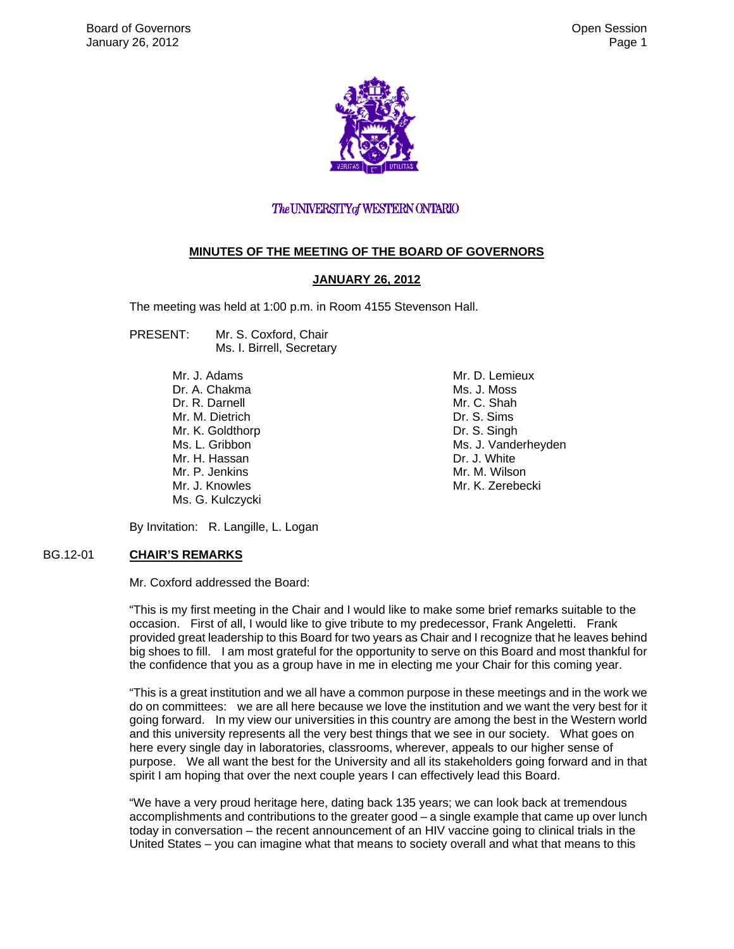

#### The UNIVERSITY of WESTERN ONTARIO

#### **MINUTES OF THE MEETING OF THE BOARD OF GOVERNORS**

#### **JANUARY 26, 2012**

The meeting was held at 1:00 p.m. in Room 4155 Stevenson Hall.

- PRESENT: Mr. S. Coxford, Chair Ms. I. Birrell, Secretary
	- Mr. J. Adams Dr. A. Chakma Dr. R. Darnell Mr. M. Dietrich Mr. K. Goldthorp Ms. L. Gribbon Mr. H. Hassan Mr. P. Jenkins Mr. J. Knowles Ms. G. Kulczycki

Mr. D. Lemieux Ms. J. Moss Mr. C. Shah Dr. S. Sims Dr. S. Singh Ms. J. Vanderheyden Dr. J. White Mr. M. Wilson Mr. K. Zerebecki

By Invitation: R. Langille, L. Logan

#### BG.12-01 **CHAIR'S REMARKS**

Mr. Coxford addressed the Board:

"This is my first meeting in the Chair and I would like to make some brief remarks suitable to the occasion. First of all, I would like to give tribute to my predecessor, Frank Angeletti. Frank provided great leadership to this Board for two years as Chair and I recognize that he leaves behind big shoes to fill. I am most grateful for the opportunity to serve on this Board and most thankful for the confidence that you as a group have in me in electing me your Chair for this coming year.

"This is a great institution and we all have a common purpose in these meetings and in the work we do on committees: we are all here because we love the institution and we want the very best for it going forward. In my view our universities in this country are among the best in the Western world and this university represents all the very best things that we see in our society. What goes on here every single day in laboratories, classrooms, wherever, appeals to our higher sense of purpose. We all want the best for the University and all its stakeholders going forward and in that spirit I am hoping that over the next couple years I can effectively lead this Board.

"We have a very proud heritage here, dating back 135 years; we can look back at tremendous accomplishments and contributions to the greater good – a single example that came up over lunch today in conversation – the recent announcement of an HIV vaccine going to clinical trials in the United States – you can imagine what that means to society overall and what that means to this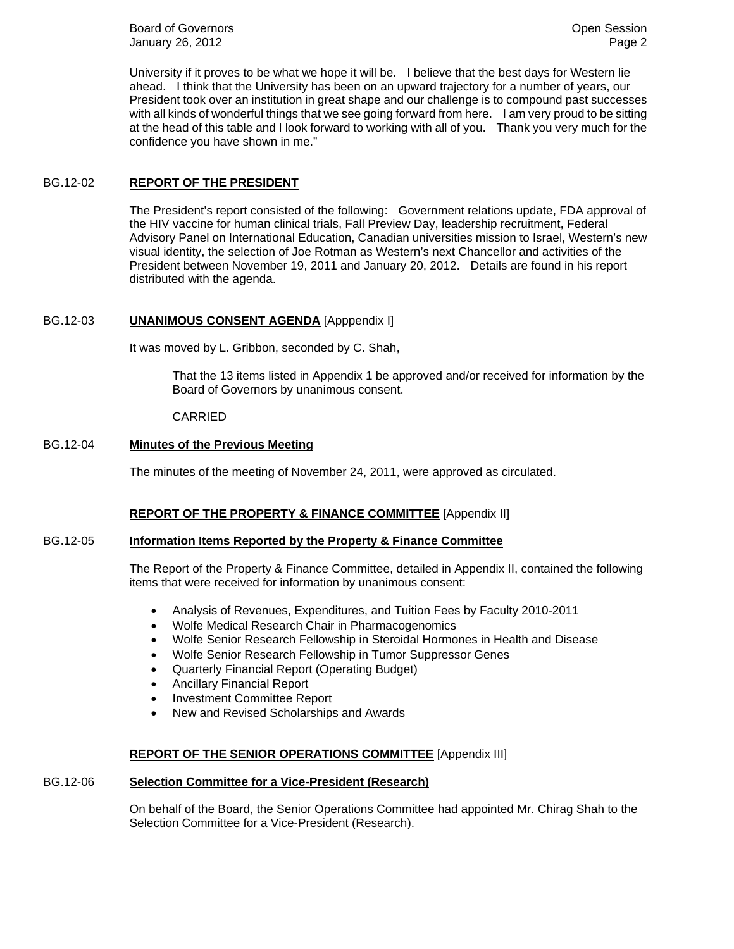**Board of Governors Community Board of Governors Community Community Community Community Community Community Community Community Community Community Community Community Community Community** January 26, 2012 **Page 2 Page 2** 

University if it proves to be what we hope it will be. I believe that the best days for Western lie ahead. I think that the University has been on an upward trajectory for a number of years, our President took over an institution in great shape and our challenge is to compound past successes with all kinds of wonderful things that we see going forward from here. I am very proud to be sitting at the head of this table and I look forward to working with all of you. Thank you very much for the confidence you have shown in me."

#### BG.12-02 **REPORT OF THE PRESIDENT**

The President's report consisted of the following: Government relations update, FDA approval of the HIV vaccine for human clinical trials, Fall Preview Day, leadership recruitment, Federal Advisory Panel on International Education, Canadian universities mission to Israel, Western's new visual identity, the selection of Joe Rotman as Western's next Chancellor and activities of the President between November 19, 2011 and January 20, 2012. Details are found in his report distributed with the agenda.

#### BG.12-03 **UNANIMOUS CONSENT AGENDA** [Apppendix I]

It was moved by L. Gribbon, seconded by C. Shah,

That the 13 items listed in Appendix 1 be approved and/or received for information by the Board of Governors by unanimous consent.

#### CARRIED

#### BG.12-04 **Minutes of the Previous Meeting**

The minutes of the meeting of November 24, 2011, were approved as circulated.

#### **REPORT OF THE PROPERTY & FINANCE COMMITTEE** [Appendix II]

#### BG.12-05 **Information Items Reported by the Property & Finance Committee**

The Report of the Property & Finance Committee, detailed in Appendix II, contained the following items that were received for information by unanimous consent:

- Analysis of Revenues, Expenditures, and Tuition Fees by Faculty 2010-2011
- Wolfe Medical Research Chair in Pharmacogenomics
- Wolfe Senior Research Fellowship in Steroidal Hormones in Health and Disease
- Wolfe Senior Research Fellowship in Tumor Suppressor Genes
- Quarterly Financial Report (Operating Budget)
- Ancillary Financial Report
- Investment Committee Report
- New and Revised Scholarships and Awards

#### **REPORT OF THE SENIOR OPERATIONS COMMITTEE** [Appendix III]

#### BG.12-06 **Selection Committee for a Vice-President (Research)**

On behalf of the Board, the Senior Operations Committee had appointed Mr. Chirag Shah to the Selection Committee for a Vice-President (Research).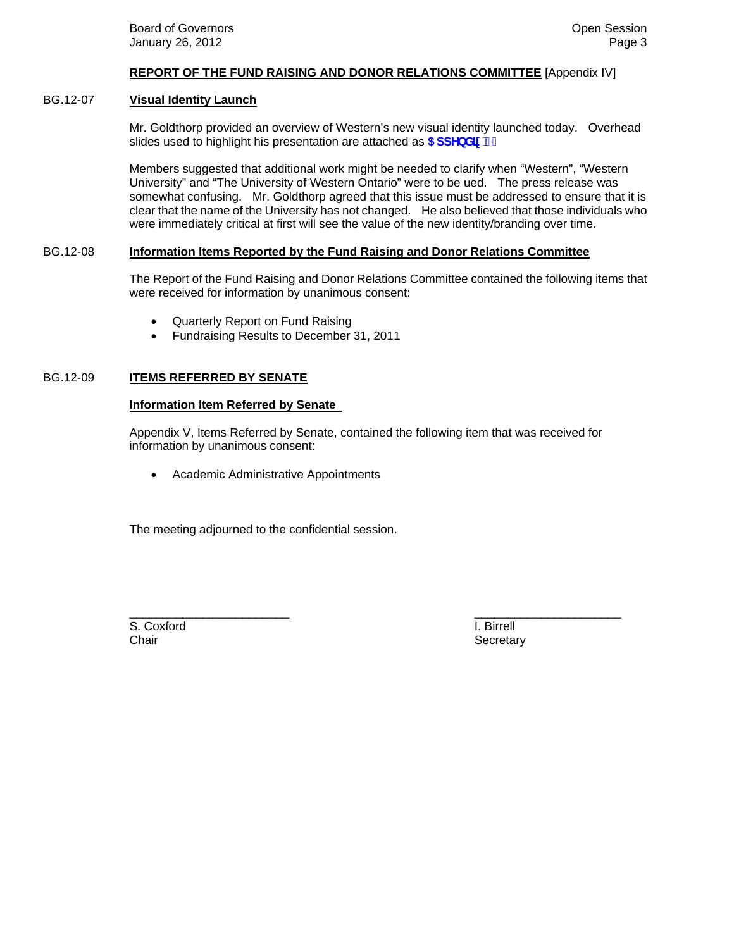#### **REPORT OF THE FUND RAISING AND DONOR RELATIONS COMMITTEE** [Appendix IV]

#### BG.12-07 **Visual Identity Launch**

Mr. Goldthorp provided an overview of Western's new visual identity launched today. Overhead slides used to highlight his presentation are attached as **5 ddYbX]l** '%"

Members suggested that additional work might be needed to clarify when "Western", "Western University" and "The University of Western Ontario" were to be ued. The press release was somewhat confusing. Mr. Goldthorp agreed that this issue must be addressed to ensure that it is clear that the name of the University has not changed. He also believed that those individuals who were immediately critical at first will see the value of the new identity/branding over time.

#### BG.12-08 **Information Items Reported by the Fund Raising and Donor Relations Committee**

The Report of the Fund Raising and Donor Relations Committee contained the following items that were received for information by unanimous consent:

- Quarterly Report on Fund Raising
- Fundraising Results to December 31, 2011

#### BG.12-09 **ITEMS REFERRED BY SENATE**

#### **Information Item Referred by Senate**

Appendix V, Items Referred by Senate, contained the following item that was received for information by unanimous consent:

• Academic Administrative Appointments

The meeting adjourned to the confidential session.

\_\_\_\_\_\_\_\_\_\_\_\_\_\_\_\_\_\_\_\_\_\_\_\_ \_\_\_\_\_\_\_\_\_\_\_\_\_\_\_\_\_\_\_\_\_\_ S. Coxford **I. Birrell** Chair **Secretary** Secretary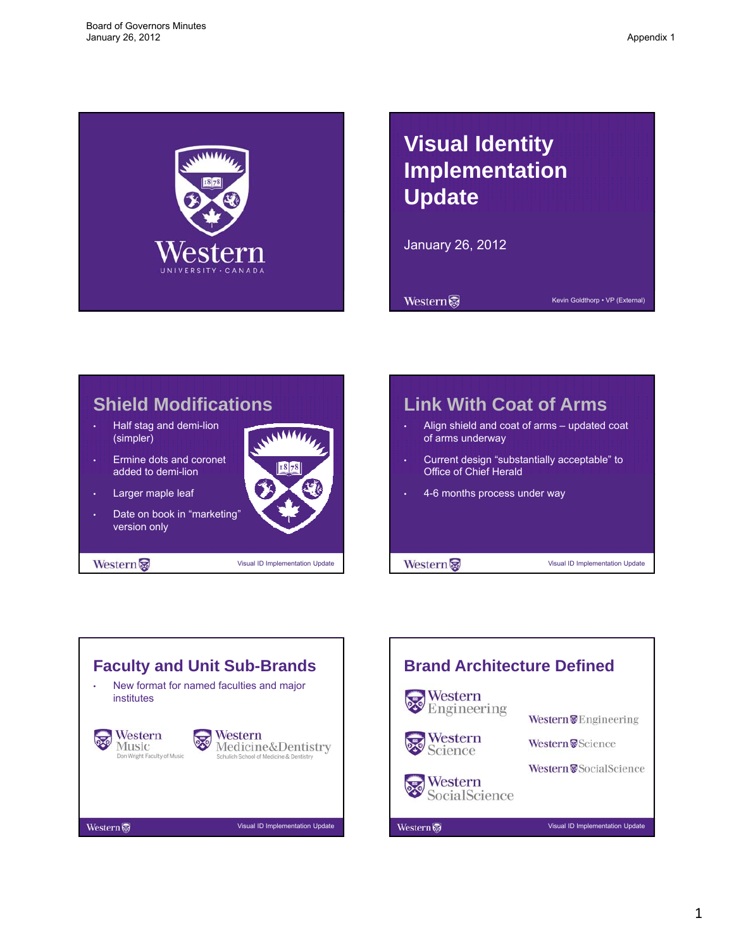<span id="page-3-0"></span>

# **Visual Identity Implementation Update**

January 26, 2012

**Western** 

Kevin Goldthorp • VP (External)



# **Link With Coat of Arms** • Align shield and coat of arms – updated coat of arms underway • Current design "substantially acceptable" to Office of Chief Herald • 4-6 months process under way Western Visual ID Implementation Update



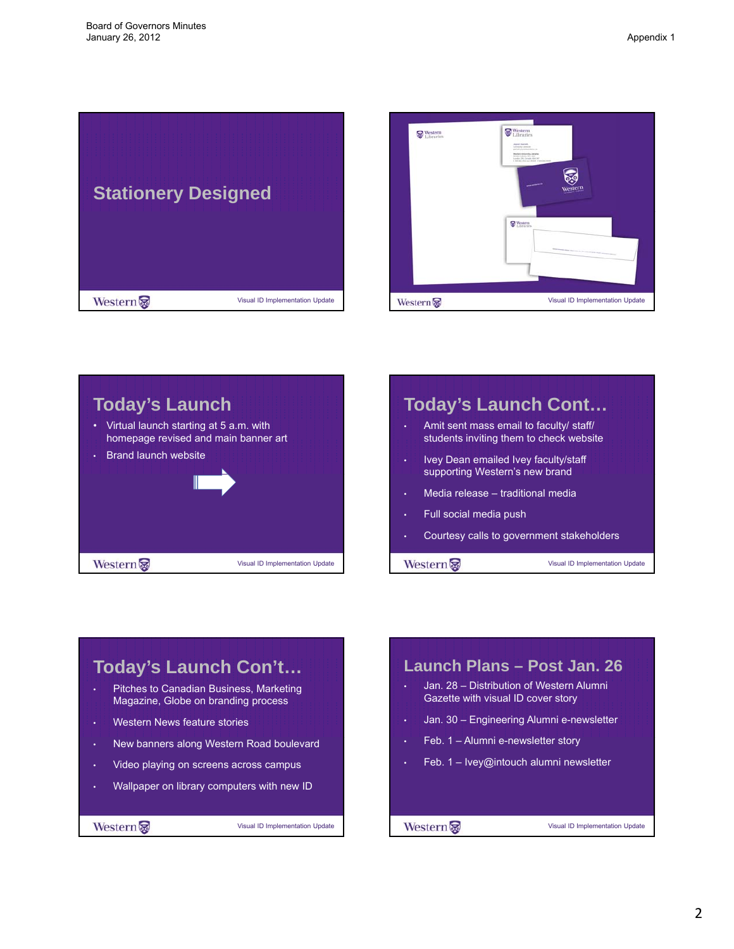







# **Today's Launch Con't…**

- Pitches to Canadian Business, Marketing Magazine, Globe on branding process
- Western News feature stories
- New banners along Western Road boulevard
- Video playing on screens across campus
- Wallpaper on library computers with new ID

Western

Visual ID Implementation Update

## **Launch Plans – Post Jan. 26** • Jan. 28 – Distribution of Western Alumni Gazette with visual ID cover story • Jan. 30 – Engineering Alumni e-newsletter  $\cdot$  Feb. 1 – Alumni e-newsletter story • Feb. 1 – Ivey@intouch alumni newsletter Visual ID Implementation Update Western